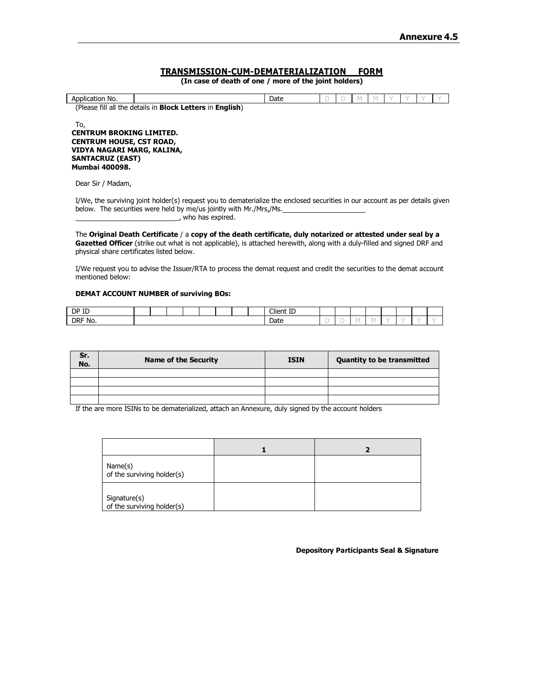## **TRANSMISSION-CUM-DEMATERIALIZATION FORM**

**(In case of death of one / more of the joint holders)**

| Application No.                                       |                                                                          | Date |  |  |  |  |
|-------------------------------------------------------|--------------------------------------------------------------------------|------|--|--|--|--|
|                                                       | (Please fill all the details in <b>Block Letters</b> in <b>English</b> ) |      |  |  |  |  |
| To,                                                   |                                                                          |      |  |  |  |  |
| <b>CENTRUM BROKING LIMITED.</b>                       |                                                                          |      |  |  |  |  |
| <b>CENTRUM HOUSE, CST ROAD,</b>                       |                                                                          |      |  |  |  |  |
| VIDYA NAGARI MARG, KALINA,<br><b>SANTACRUZ (EAST)</b> |                                                                          |      |  |  |  |  |
| <b>Mumbai 400098.</b>                                 |                                                                          |      |  |  |  |  |
|                                                       |                                                                          |      |  |  |  |  |

Dear Sir / Madam,

I/We, the surviving joint holder(s) request you to dematerialize the enclosed securities in our account as per details given below. The securities were held by me/us jointly with Mr./Mrs,/Ms. \_, who has expired.

The **Original Death Certificate** / a **copy of the death certificate, duly notarized or attested under seal by a Gazetted Officer** (strike out what is not applicable), is attached herewith, along with a duly-filled and signed DRF and physical share certificates listed below.

I/We request you to advise the Issuer/RTA to process the demat request and credit the securities to the demat account mentioned below:

### **DEMAT ACCOUNT NUMBER of surviving BOs:**

| DP ID   |  |  |  |  | Client ID |      |  |  |  |
|---------|--|--|--|--|-----------|------|--|--|--|
| DRF No. |  |  |  |  | Date      | <br> |  |  |  |

| Sr.<br>No. | <b>Name of the Security</b> | <b>ISIN</b> | <b>Quantity to be transmitted</b> |  |  |  |  |  |  |
|------------|-----------------------------|-------------|-----------------------------------|--|--|--|--|--|--|
|            |                             |             |                                   |  |  |  |  |  |  |
|            |                             |             |                                   |  |  |  |  |  |  |
|            |                             |             |                                   |  |  |  |  |  |  |
|            |                             |             |                                   |  |  |  |  |  |  |

If the are more ISINs to be dematerialized, attach an Annexure, duly signed by the account holders

| Name(s)<br>of the surviving holder(s)      |  |
|--------------------------------------------|--|
| Signature(s)<br>of the surviving holder(s) |  |

**Depository Participants Seal & Signature**